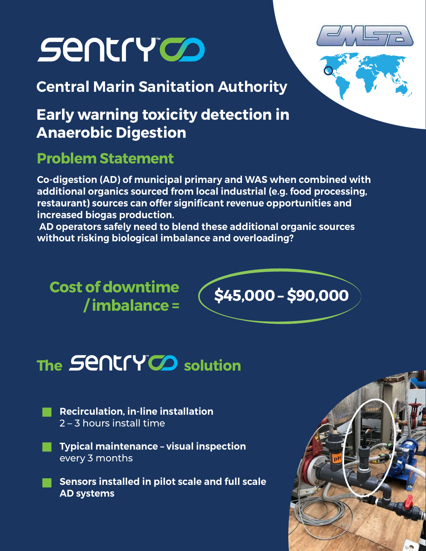# **Sentry OD**

Central Marin Sanitation Authority

# Early warning toxicity detection in Anaerobic Digestion

## Problem Statement

Co-digestion (AD) of municipal primary and WAS when combined with additional organics sourced from local industrial (e.g. food processing, restaurant) sources can offer significant revenue opportunities and increased biogas production.

 AD operators safely need to blend these additional organic sources without risking biological imbalance and overloading?

Cost of downtime



# The SCI ICI YOJ solution

- Recirculation, in-line installation 2 – 3 hours install time
- Typical maintenance visual inspection
- every 3 months<br>Sensors installed in pilot scale and full scale AD systems